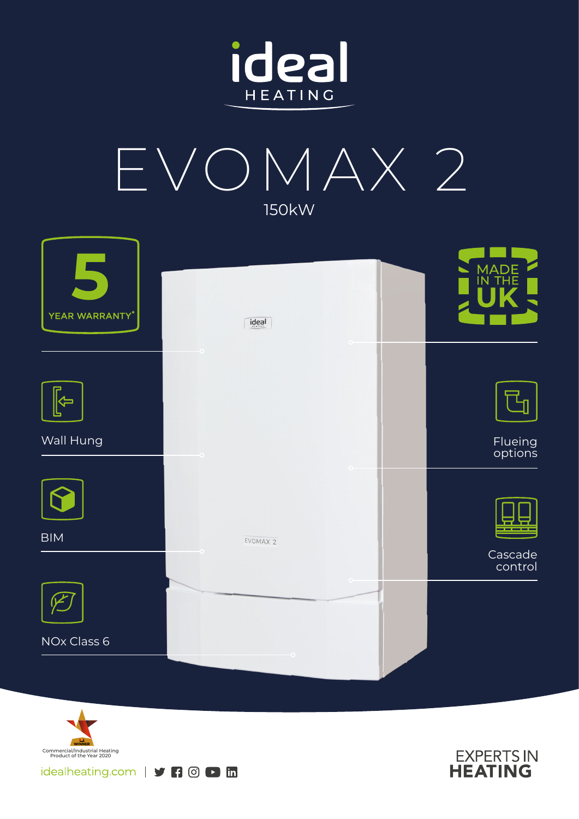







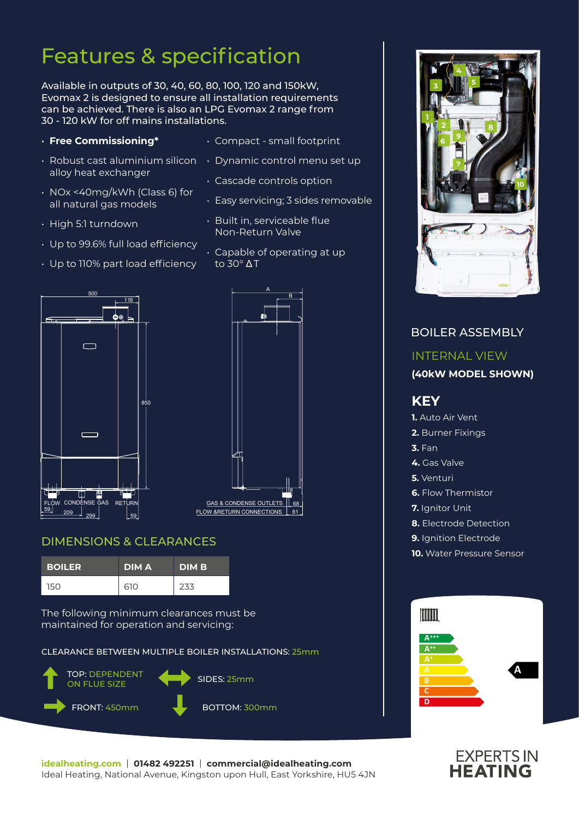## Features & specification

Available in outputs of 30, 40, 60, 80, 100, 120 and 150kW, Evomax 2 is designed to ensure all installation requirements can be achieved. There is also an LPG Evomax 2 range from 30 - 120 kW for off mains installations.

- **Free Commissioning\***
- alloy heat exchanger
- NOx <40mg/kWh (Class 6) for all natural gas models
- High 5:1 turndown
- Up to 99.6% full load efficiency

• Up to 110% part load efficiency

- Compact small footprint
- $\cdot$  Robust cast aluminium silicon  $\;\;\cdot\;$  Dynamic control menu set up
	- Cascade controls option
	- Easy servicing; 3 sides removable
	- Built in, serviceable flue Non-Return Valve
	- Capable of operating at up to 30° Δ T





#### DIMENSIONS & CLEARANCES

| <b>BOILER</b> | <b>DIMA</b> | <b>DIM B</b> |
|---------------|-------------|--------------|
| 150           | 610         | 233          |

The following minimum clearances must be maintained for operation and servicing:

CLEARANCE BETWEEN MULTIPLE BOILER INSTALLATIONS: 25mm







# **EXPERTS IN**<br>**HEATING**

**idealheating.com** | **01482 492251** | **commercial@idealheating.com**  Ideal Heating, National Avenue, Kingston upon Hull, East Yorkshire, HU5 4JN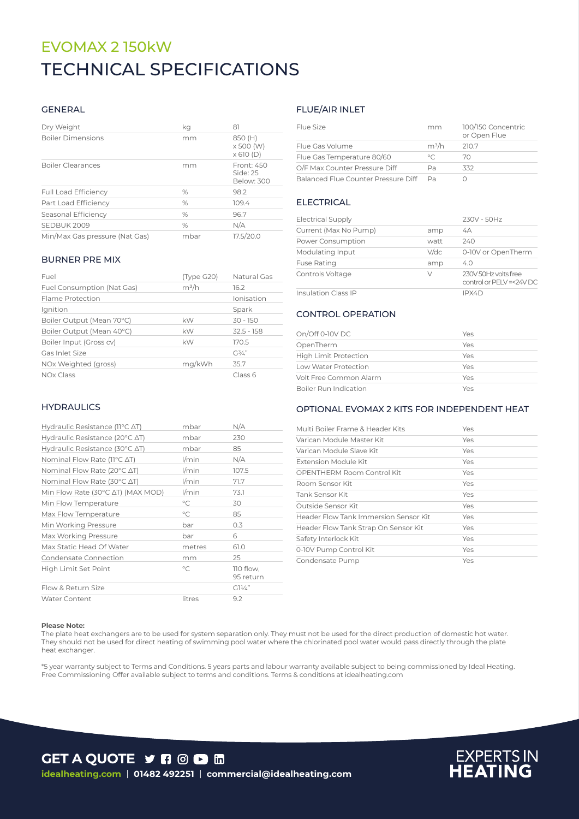## TECHNICAL SPECIFICATIONS EVOMAX 2 150kW

#### GENERAL

| Dry Weight                     | kg            | 81                                       |
|--------------------------------|---------------|------------------------------------------|
| <b>Boiler Dimensions</b>       | mm            | 850 (H)<br>x 500 (W)<br>$\times$ 610 (D) |
| <b>Boiler Clearances</b>       | mm            | Front: 450<br>Side: 25<br>Below: 300     |
| <b>Full Load Efficiency</b>    | $\frac{0}{0}$ | 98.2                                     |
| Part Load Efficiency           | $\%$          | 109.4                                    |
| Seasonal Efficiency            | $\%$          | 96.7                                     |
| SEDBUK 2009                    | $\frac{0}{0}$ | N/A                                      |
| Min/Max Gas pressure (Nat Gas) | mbar          | 17.5/20.0                                |

#### BURNER PRE MIX

| Fuel                       | (Type G20) | Natural Gas  |
|----------------------------|------------|--------------|
| Fuel Consumption (Nat Gas) | $m^3/h$    | 16.2         |
| Flame Protection           |            | Ionisation   |
| Ignition                   |            | Spark        |
| Boiler Output (Mean 70°C)  | kW         | $30 - 150$   |
| Boiler Output (Mean 40°C)  | kW         | $32.5 - 158$ |
| Boiler Input (Gross cv)    | kW         | 170.5        |
| Gas Inlet Size             |            | $G^{3/2}$    |
| NOx Weighted (gross)       | mg/kWh     | 35.7         |
| NOx Class                  |            | Class 6      |

#### **HYDRAULICS**

| Hydraulic Resistance ( $11^{\circ}$ C $\Delta$ T) | mbar         | N/A                    |
|---------------------------------------------------|--------------|------------------------|
| Hydraulic Resistance (20°C ∆T)                    | mbar         | 230                    |
| Hydraulic Resistance (30°C ∆T)                    | mbar         | 85                     |
| Nominal Flow Rate (11°C ∆T)                       | $1/m$ in     | N/A                    |
| Nominal Flow Rate (20°C $\Delta T$ )              | $1/m$ in     | 107.5                  |
| Nominal Flow Rate (30°C $\Delta T$ )              | $1/m$ in     | 71.7                   |
| Min Flow Rate (30°C ∆T) (MAX MOD)                 | $1/m$ in     | 73.1                   |
| Min Flow Temperature                              | °C           | 30                     |
| Max Flow Temperature                              | $^{\circ}$ C | 85                     |
| Min Working Pressure                              | bar          | 0.3                    |
| Max Working Pressure                              | bar          | 6                      |
| Max Static Head Of Water                          | metres       | 61.0                   |
| Condensate Connection                             | mm           | 25                     |
| High Limit Set Point                              | $^{\circ}$ C | 110 flow,<br>95 return |
| Flow & Return Size                                |              | $GI\frac{1}{4}$        |
| <b>Water Content</b>                              | litres       | 9.2                    |

#### FLUE/AIR INLET

| Flue Size                           | mm      | 100/150 Concentric<br>or Open Flue |
|-------------------------------------|---------|------------------------------------|
| Flue Gas Volume                     | $m^3/h$ | 210.7                              |
| Flue Gas Temperature 80/60          | $\circ$ | $70^{\circ}$                       |
| O/F Max Counter Pressure Diff       | Pа      | ススフ                                |
| Balanced Flue Counter Pressure Diff | Pa      |                                    |

#### **ELECTRICAL**

| <b>Electrical Supply</b>   |         | 230V - 50Hz                                     |
|----------------------------|---------|-------------------------------------------------|
| Current (Max No Pump)      | amp     | 4A                                              |
| Power Consumption          | watt    | 240                                             |
| Modulating Input           | $V$ /dc | 0-10V or OpenTherm                              |
| <b>Fuse Rating</b>         | amp     | 4.0                                             |
| Controls Voltage           | V       | 230V 50Hz volts free<br>control or PELV=<24V DC |
| <b>Insulation Class IP</b> |         | IPX4D                                           |

#### CONTROL OPERATION

| On/Off 0-10V DC              | Yes |
|------------------------------|-----|
| OpenTherm                    | Yes |
| <b>High Limit Protection</b> | Yes |
| Low Water Protection         | Yes |
| Volt Free Common Alarm       | Yes |
| Boiler Run Indication        | Yes |

#### OPTIONAL EVOMAX 2 KITS FOR INDEPENDENT HEAT

| Multi Boiler Frame & Header Kits      | Yes |
|---------------------------------------|-----|
| Varican Module Master Kit             | Yes |
| Varican Module Slave Kit              | Yes |
| Extension Module Kit                  | Yes |
| OPENTHERM Room Control Kit            | Yes |
| Room Sensor Kit                       | Yes |
| Tank Sensor Kit                       | Yes |
| Outside Sensor Kit                    | Yes |
| Header Flow Tank Immersion Sensor Kit | Yes |
| Header Flow Tank Strap On Sensor Kit  | Yes |
| Safety Interlock Kit                  | Yes |
| 0-10V Pump Control Kit                | Yes |
| Condensate Pump                       | Yes |

#### **Please Note:**

The plate heat exchangers are to be used for system separation only. They must not be used for the direct production of domestic hot water. They should not be used for direct heating of swimming pool water where the chlorinated pool water would pass directly through the plate heat exchanger.

\*5 year warranty subject to Terms and Conditions. 5 years parts and labour warranty available subject to being commissioned by Ideal Heating. Free Commissioning Offer available subject to terms and conditions. Terms & conditions at idealheating.com